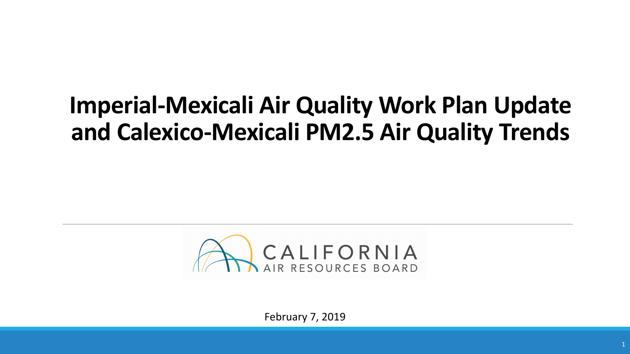## **Imperial-Mexicali Air Quality Work Plan Update and Calexico-Mexicali PM2.5 Air Quality Trends**



February 7, 2019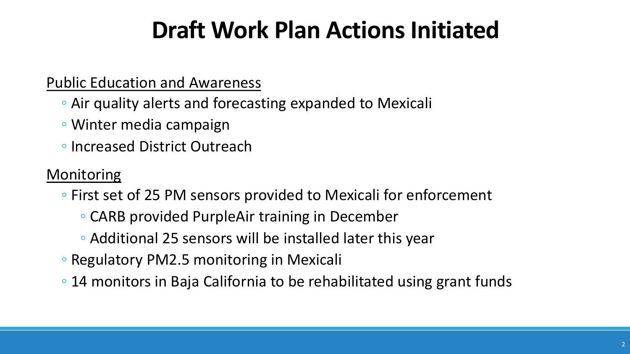## **Draft Work Plan Actions Initiated**

#### Public Education and Awareness

- Air quality alerts and forecasting expanded to Mexicali
- Winter media campaign
- Increased District Outreach

#### **Monitoring**

- First set of 25 PM sensors provided to Mexicali for enforcement
	- CARB provided PurpleAir training in December
	- Additional 25 sensors will be installed later this year
- Regulatory PM2.5 monitoring in Mexicali
- 14 monitors in Baja California to be rehabilitated using grant funds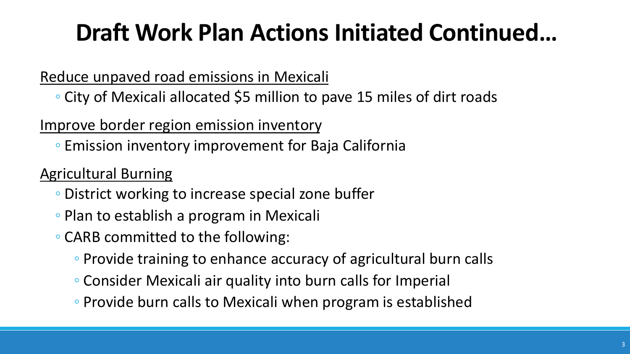## **Draft Work Plan Actions Initiated Continued…**

#### Reduce unpaved road emissions in Mexicali

◦ City of Mexicali allocated \$5 million to pave 15 miles of dirt roads

#### Improve border region emission inventory

◦ Emission inventory improvement for Baja California

#### Agricultural Burning

- District working to increase special zone buffer
- Plan to establish a program in Mexicali
- CARB committed to the following:
	- Provide training to enhance accuracy of agricultural burn calls
	- Consider Mexicali air quality into burn calls for Imperial
	- Provide burn calls to Mexicali when program is established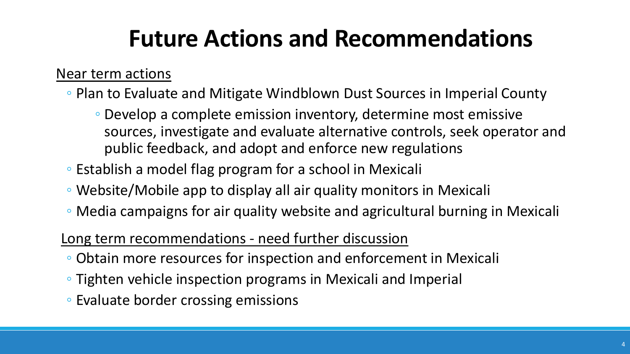## **Future Actions and Recommendations**

#### Near term actions

- Plan to Evaluate and Mitigate Windblown Dust Sources in Imperial County
	- Develop a complete emission inventory, determine most emissive sources, investigate and evaluate alternative controls, seek operator and public feedback, and adopt and enforce new regulations
- Establish a model flag program for a school in Mexicali
- Website/Mobile app to display all air quality monitors in Mexicali
- Media campaigns for air quality website and agricultural burning in Mexicali

#### Long term recommendations - need further discussion

- Obtain more resources for inspection and enforcement in Mexicali
- Tighten vehicle inspection programs in Mexicali and Imperial
- Evaluate border crossing emissions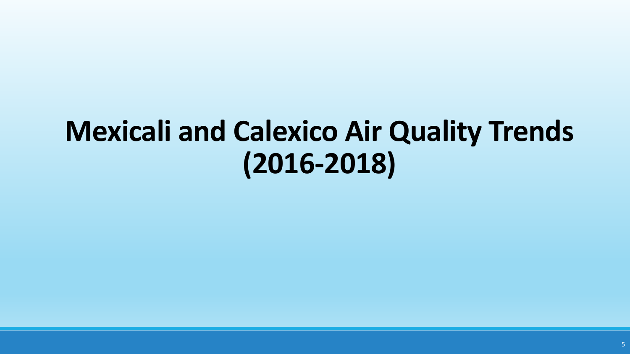# **Mexicali and Calexico Air Quality Trends (2016-2018)**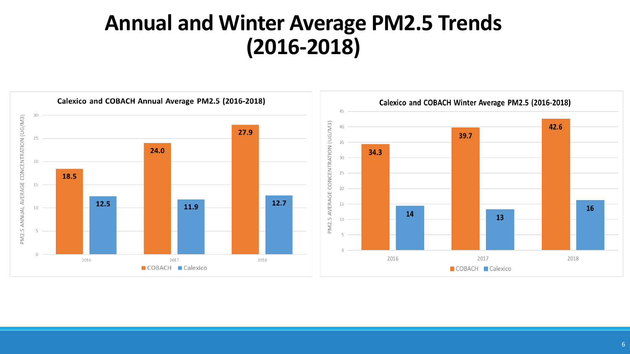### **Annual and Winter Average PM2.5 Trends (2016-2018)**

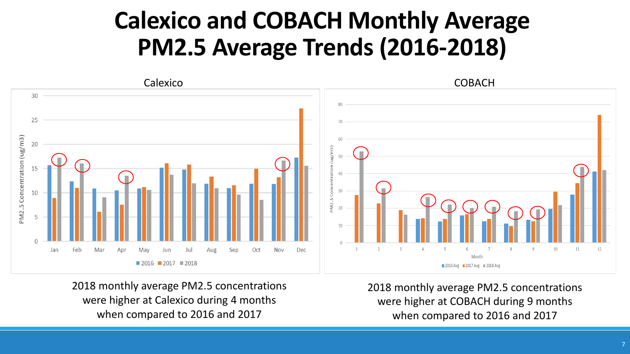### **Calexico and COBACH Monthly Average PM2.5 Average Trends (2016-2018)**



2018 monthly average PM2.5 concentrations were higher at Calexico during 4 months when compared to 2016 and 2017

2018 monthly average PM2.5 concentrations were higher at COBACH during 9 months when compared to 2016 and 2017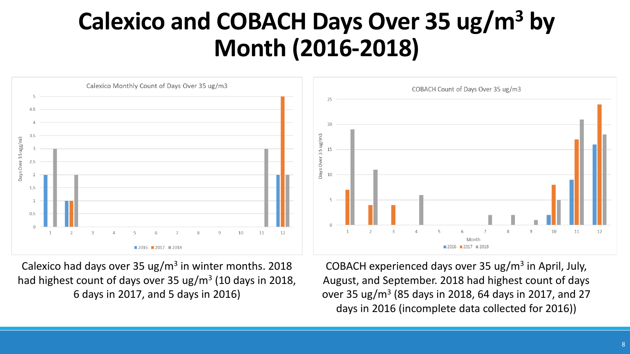### **Calexico and COBACH Days Over 35 ug/m3 by Month (2016-2018)**



Calexico had days over 35 ug/ $m<sup>3</sup>$  in winter months. 2018 had highest count of days over 35 ug/m<sup>3</sup> (10 days in 2018, 6 days in 2017, and 5 days in 2016)

COBACH experienced days over 35 ug/ $m<sup>3</sup>$  in April, July, August, and September. 2018 had highest count of days over 35 ug/m3 (85 days in 2018, 64 days in 2017, and 27 days in 2016 (incomplete data collected for 2016))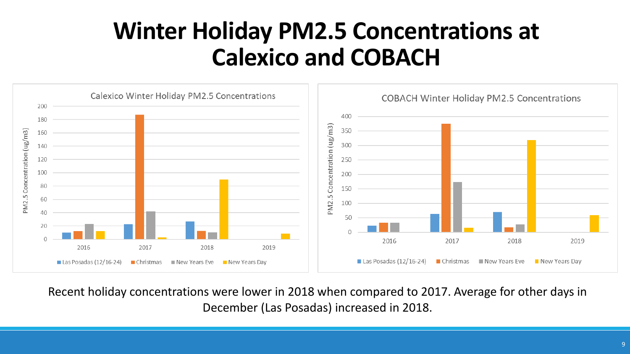### **Winter Holiday PM2.5 Concentrations at Calexico and COBACH**



Recent holiday concentrations were lower in 2018 when compared to 2017. Average for other days in December (Las Posadas) increased in 2018.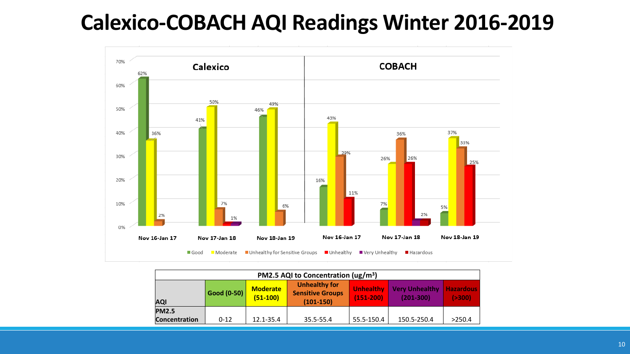### **Calexico-COBACH AQI Readings Winter 2016-2019**



| PM2.5 AQI to Concentration ( $\mu$ g/m <sup>3</sup> ) |                    |                        |                                                                |                                   |                                        |                              |  |
|-------------------------------------------------------|--------------------|------------------------|----------------------------------------------------------------|-----------------------------------|----------------------------------------|------------------------------|--|
| <b>AQI</b>                                            | <b>Good (0-50)</b> | Moderate<br>$(51-100)$ | <b>Unhealthy for</b><br><b>Sensitive Groups</b><br>$(101-150)$ | <b>Unhealthy</b><br>$(151 - 200)$ | <b>Very Unhealthy</b><br>$(201 - 300)$ | <b>Hazardous</b><br>( > 300) |  |
| <b>PM2.5</b>                                          |                    |                        |                                                                |                                   |                                        |                              |  |
| <b>Concentration</b>                                  | $0 - 12$           | 12.1-35.4              | 35.5-55.4                                                      | 55.5-150.4                        | 150.5-250.4                            | >250.4                       |  |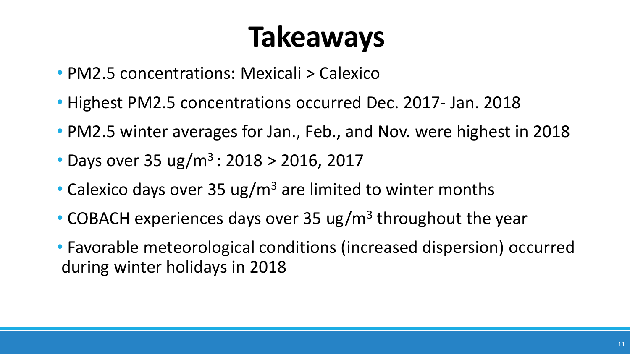# **Takeaways**

- PM2.5 concentrations: Mexicali > Calexico
- Highest PM2.5 concentrations occurred Dec. 2017- Jan. 2018
- PM2.5 winter averages for Jan., Feb., and Nov. were highest in 2018
- Days over 35 ug/m<sup>3</sup> : 2018 > 2016, 2017
- Calexico days over 35 ug/m<sup>3</sup> are limited to winter months
- COBACH experiences days over 35 ug/m<sup>3</sup> throughout the year
- Favorable meteorological conditions (increased dispersion) occurred during winter holidays in 2018